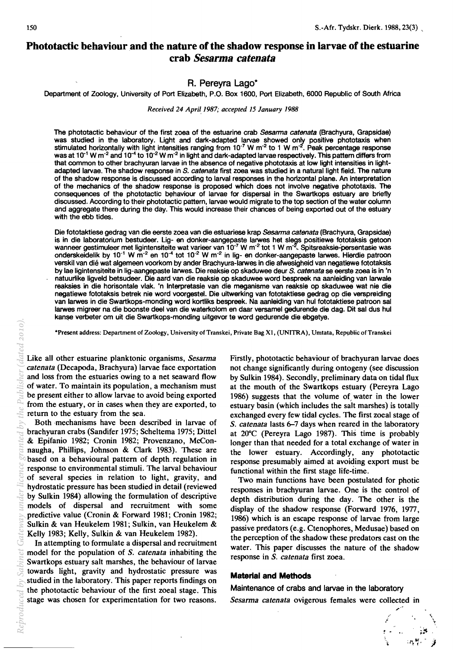# **Phototactic** behaviour and **the nature of the shadow response in larvae of the estuarine crab** *Sesarma catenata*

## R. Pereyra Lago\*

Department of Zoology, University of Port Elizabeth, P.O. Box 1600, Port Elizabeth, 6000 Republic of South Africa

*Received 24 April 1987; accepted 15 January 1988* 

The phototactic behaviour of the first zoea of the estuarine crab *Sesarma catenata* (Brachyura, Grapsidae) was studied in the laboratory. Light and dark-adapted larvae showed only positive phototaxis when stimulated horizontally with light intensities ranging from  $10^{-7}$  W m<sup>-2</sup> to 1 W m<sup>-2</sup>. Peak percentage response was at 10<sup>-1</sup> W m<sup>-2</sup> and 10<sup>-4</sup> to 10<sup>-2</sup> W m<sup>-2</sup> in light and dark-adapted larvae respectively. This pattern differs from that common to other brachyuran larvae in the absence of negative phototaxis at low light intensities in lightadapted larvae. The shadow response in S. *catenata* first zoea was studied in a natural light field. The nature of the shadow response is discussed according to larval responses in the horizontal plane. An interpretation of the mechanics of the shadow response is proposed which does not involve negative phototaxis. The consequences of the phototactic behaviour of larvae for dispersal in the Swartkops estuary are briefly discussed. According to their phototactic pattern, larvae would migrate to the top section of the water column and aggregate there during the day. This would increase their chances of being exported out of the estuary with the ebb tides.

Die fototaktiese gedrag van die eerste zoea van die estuariese krap *Sesarma catenata* (Brachyura, Grapsidae) is in die laboratorium bestudeer. Lig- en donker-aangepaste larwes het slegs positiewe fototaksis getoon wanneer gestimuleer met ligintensiteite wat varieer van 10<sup>-7</sup> W m<sup>-2</sup> tot 1 W m<sup>-2</sup>. Spitsreaksie-persentasie was onderskeidelik by 10<sup>-1</sup> W m<sup>-2</sup> en 10<sup>-4</sup> tot 10<sup>-2</sup> W m<sup>-2</sup> in lig- en donker-aangepaste larwes. Hierdie patroon verskil van die wat algemeen voorkom by ander Brachyura-Iarwes in die afwesigheid van negatiewe fototaksis by lae ligintensiteite in lig-aangepaste larwes. Die reaksie op skaduwee deur S\_ *catenata* se eerste zoea is in 'n natuurlike ligveld betsudeer. Die aard van die reaksie op skaduwee word bespreek na aanleiding van larwale reaksies in die horisontale vlak. 'n Interpretasie van die meganisme van reaksie op skaduwee wat nie die negatiewe fototaksis betrek nie word voorgestel. Die uitwerking van fototaktiese gedrag op die verspreiding van larwes in die Swartkops-monding word kortliks bespreek. Na aanleiding van hul fototaktiese patroon sal larwes migreer na die boonste deel van die waterkolom en daar versamel gedurende die dag. Dit sal dus hul kanse verbeter om uit die Swartkops-monding uitgevor te word gedurende die ebgetye.

\*Present address: Department of Zoology, University of Transkei, Private Bag X1, (UNITRA), Umtata, Republic of Transkei

Like all other estuarine planktonic organisms, *Sesarma catenata* (Decapoda, Brachyura) larvae face exportation and loss from the estuaries owing to a net seaward flow of water. To maintain its population, a mechanism must be present either to allow larvae to avoid being exported from the estuary, or in cases when they are exported, to return to the estuary from the sea.

Both -mechanisms have been described in larvae of brachyuran crabs (Sandifer 1975; Scheltema 1975; Dittel & Epifanio 1982; Cronin 1982; Provenzano, McConnaugha, Phillips, Johnson & Clark 1983). These are based on a behavioural pattern of depth. regulation in response to environmental stimuli. The larval behaviour of several species in relation to light, gravity, and hydrostatic pressure has been studied in detail (reviewed by Sulkin 1984) allowing the formulation of descriptive models of dispersal and recruitment with some predictive value (Cronin & Forward 1981; Cronin 1982; Sulkin & van Heukelem 1981; Sulkin, van Heukelem & Kelly 1983; Kelly, Sulkin & van Heukelem 1982).

In attempting to formulate a dispersal and recruitment model for the population of S. *catenata* inhabiting the Swartkops estuary salt marshes, the behaviour of larvae towards light, gravity and hydrostatic pressure was studied in the laboratory. This paper reports findings on the phototactic behaviour of the first zoeal stage. This stage was chosen for experimentation for two reasons.

Firstly, phototactic behaviour of brachyuran larvae does not change significantly during ontogeny (see discussion by Sulkin 1984). Secondly, preliminary data on tidal flux at the mouth of the Swartkops estuary (Pereyra Lago 1986) suggests that the volume of, water in the lower estuary basin (which includes the salt marshes) is totally exchanged every few tidal cycles. The first zoeal stage of S. *catenata* lasts 6-7 days when reared in the laboratory at 20°C (Pereyra Lago 1987). This time is probably longer than that needed for a total exchange of water in the lower estuary. Accordingly, any phototactic response presumably aimed at avoiding export must be functional within the first stage life-time. Present address: Department of Zoology, University of Tamkel, Private Back1i, (UNTRA), Unitata, Republic of Transkei<br>
Caterolary **Caterolary Biracty Provider Caterolary and the caterolary and the caterolary in the action o** 

Two main functions have been postulated for photic responses in brachyuran larvae. One is the control of depth distribution during the day. The other is the display of the shadow response (Forward 1976, 1977, 1986) which is an escape response of larvae from large passive predators (e.g. Ctenophores, Medusae) based on the perception of the shadow these predators cast on the water. This paper discusses the nature of the shadow response in S. *catenata* first zoea.

### **Material and Methods**

Maintenance of crabs and larvae in the laboratory

*Sesarma catenata* ovigerous females were collected in

.. ' ~ - '\  $\lambda$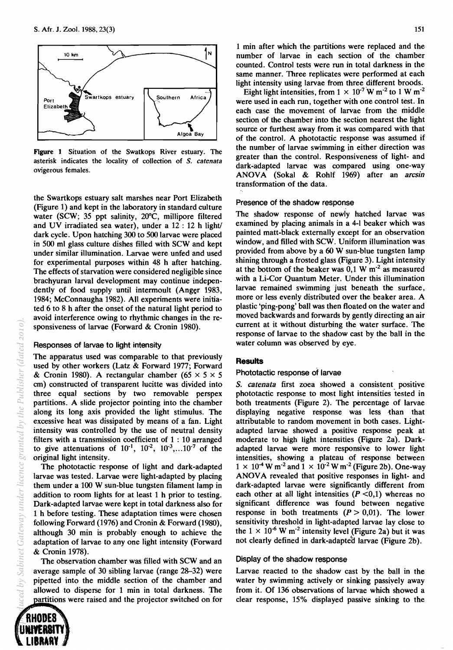

Figure 1 Situation of the Swatkops River estuary. The asterisk indicates the locality of collection of S. *catenata*  ovigerous females.

the Swartkops estuary salt marshes near Port Elizabeth (Figure 1) and kept in the laboratory in standard culture water (SCW; 35 ppt salinity, 20°C, millipore filtered and UV irradiated sea water), under a  $12:12$  h light dark cycle. Upon hatching 300 to 500 larvae were placed in 500 ml glass culture dishes filled with SCW and kept under similar illumination. Larvae were unfed and used for experimental purposes within 48 h after hatching. The effects of starvation were considered negligible since brachyuran larval development may continue independently of food supply until intermoult (Anger 1983, 1984; McConnaugha 1982). All experiments were initiated 6 to 8 h after the onset of the natural light period to avoid interference owing to rhythmic changes in the responsiveness of larvae (Forward & Cronin 1980).

### Responses of larvae to light intensity

The apparatus used was comparable to that previously used by other workers (Latz & Forward 1977; Forward & Cronin 1980). A rectangular chamber (65  $\times$  5  $\times$  5 cm) constructed of transparent lucitte was divided into three equal sections by two removable perspex partitions. A slide projector pointing into the chamber along its long axis provided the light stimulus. The excessive heat was dissipated by means of a fan. Light intensity was controlled by the use of neutral density filters with a transmission coefficient of 1 : 10 arranged to give attenuations of  $10^{-1}$ ,  $10^{-2}$ ,  $10^{-3}$ ,...10<sup>-7</sup> of the original light intensity.

The phototactic response of light and dark-adapted larvae was tested. Larvae were light-adapted by placing them under a 100 W sun-blue tungsten filament lamp in addition to room lights for at least 1 h prior to testing. Dark-adapted larvae were kept in total darkness also for 1 h before testing. These adaptation times were chosen following Forward (1976) and Cronin & Forward (1980), although 30 min is probably enough to achieve the adaptation of larvae to anyone light intensity (Forward & Cronin 1978).

The observation chamber was filled with SCW and an average sample of 30 sibling larvae (range 28-32) were pipetted into the middle section of the chamber and allowed to disperse for 1 min in total darkness. The partitions were raised and the projector switched on for

1 min after which the partitions were replaced and the number of larvae in each section of the chamber counted. Control tests were run in total darkness in the same manner. Three replicates were performed at each light intensity using larvae from three different broods.

Eight light intensities, from  $1 \times 10^{-7}$  W m<sup>-2</sup> to 1 W m<sup>-2</sup> were used in each run, together with one control test. In each case the movement of larvae from the middle section of the chamber into the section nearest the light source or furthest away from it was compared with that of the control. A phototactic response was assumed if the number of larvae swimming in either direction was greater than the control. Responsiveness of light- and dark-adapted larvae was compared using one-way ANDV A (Sokal & Rohlf 1969) after an *arcsin*  transformation of the data.

#### Presence of the shadow response

The shadow response of newly hatched larvae was examined by placing animals in a 4-1 beaker which was painted matt-black externally except for an observation window, and filled with SCW. Uniform illumination was provided from above by a 60 W sun-blue tungsten lamp shining through a frosted glass (Figure 3). Light intensity at the bottom of the beaker was  $0.1 \text{ W m}^2$  as measured with a Li-Cor Quantum Meter. Under this illumination larvae remained swimming just beneath the surface, more or less evenly distributed over the beaker area. A plastic 'ping-pong' ball was then floated on the water and moved backwards and forwards by gently directing an air current at it without disturbing the water surface. The response of larvae to the shadow cast by the ball in the water column was observed by eye.

#### **Results**

#### Phototactic response of larvae

*S. catenata* first zoea showed a consistent positive phototactic response to most light intensities tested in both treatments (Figure 2). The percentage of larvae displaying negative response was less than that attributable to random movement in both cases. Lightadapted larvae showed a positive response peak at moderate to high light intensities (Figure 2a). Darkadapted larvae were more responsive to lower light intensities, showing a plateau of response between  $1 \times 10^{-4}$  W m<sup>-2</sup> and  $1 \times 10^{-2}$  W m<sup>-2</sup> (Figure 2b). One-way ANOVA revealed that positive responses in light- and dark-adapted larvae were significantly different from each other at all light intensities  $(P \le 0,1)$  whereas no significant difference was found between negative response in both treatments  $(P > 0.01)$ . The lower sensitivity threshold in light-adapted larvae lay close to the  $1 \times 10^{-6}$  W m<sup>-2</sup> intensity level (Figure 2a) but it was not clearly defined in dark-adapted larvae (Figure 2b).

#### Display of the shadow response

Larvae reacted to the shadow cast by the ball in the water by swimming actively or sinking passiyely away from it. Of 136 observations of larvae which showed a clear response, 15% displayed passive sinking to the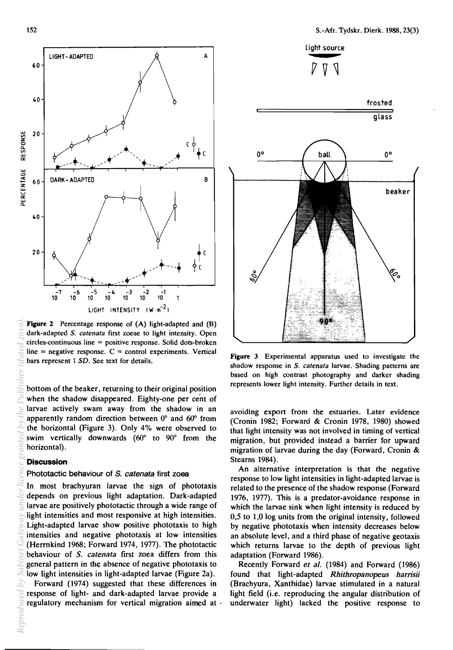

Figure 2 Percentage response of (A) light-adapted and (B) dark-adapted S. *catenata* first zoeae to light intensity. Open circles-continuous line = positive response. Solid dots-broken  $line = negative$  response.  $C = control$  experiments. Vertical bars represent 1 *SD.* See text for details.

bottom of the beaker, returning to their original position when the shadow disappeared. Eighty-one per cent of larvae actively swam away from the shadow in an apparently random direction between 0° and 60° from the horizontal (Figure 3). Only 4% were observed to swim vertically downwards (60° to 90° from the horizontal) .

#### **Discussion**

#### Phototactic behaviour of S. *catenata* first zoea

In most brachyuran larvae the sign of phototaxis depends on previous light adaptation. Dark-adapted larvae are positively phototactic through a wide range of light intensities and most responsive at high intensities. Light-adapted larvae show positive phototaxis to high intensities and negative phototaxis at low intensities (Herrnkind 1968; Forward 1974, 1977). The phototactic behaviour of *S. catenata* first zoea differs from this general pattern in the absence of negative phototaxis to low light intensities in light-adapted larvae (Figure 2a).

Forward (1974) suggested that these differences in response of Iight- and dark-adapted larvae provide a regulatory mechanism for vertical migration aimed at -



Figure 3 Experimental apparatus used to investigate the shadow response in S. *catenata* larvae. Shading patterns are based on high contrast photography and darker shading represents lower light intensity. Further details in text.

avoiding export from the estuaries. Later evidence (Cronin 1982; Forward & Cronin 1978, 1980) showed that light intensity was not involved in timing of vertical migration, but provided instead a barrier for upward migration of larvae during the day (Forward, Cronin & Stearns 1984).

An alternative interpretation is that the negative response to low light intensities in light-adapted larvae is related to the presence of the shadow response (Forward 1976, 1977). This is a predator-avoidance response in which the larvae sink when light intensity is reduced by 0,5 to 1,0 log units from the original intensity, followed by negative phototaxis when intensity decreases below an absolute level, and a third phase of negative geotaxis which returns larvae to the depth of previous light adaptation (Forward 1986).

Recently Forward *et al.* (1984) and Forward (1986) found that light-adapted *Rhithropanopeus harrisii*  (Brachyura, Xanthidae) larvae stimulated in a natural light field (i.e. reproducing the angular distribution of underwater light) lacked the positive response to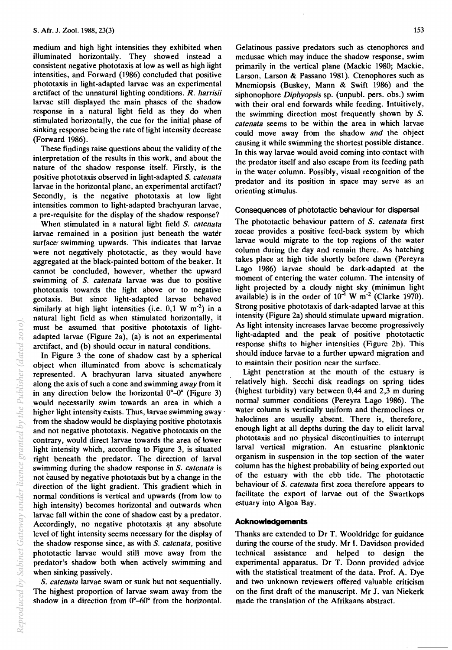medium and high light intensities they exhibited when illuminated horizontally. They showed instead a consistent negative phototaxis at low as well as high light intensities, and Forward (1986) concluded that positive phototaxis in light-adapted larvae was an experimental arctifact of the unnatural lighting conditions. *R. harrisii*  larvae still displayed the main phases of the shadow response in a natural light field as they do when stimulated horizontally, the cue for the initial phase of sinking response being the rate of light intensity decrease (Forward 1986).

These findings raise questions about the validity of the interpretation of the results in this work, and about the nature of thc shadow response itself. Firstly, is the positive phototaxis observed in light-adapted S. *catenata*  larvae in the horizontal plane, an experimental arctifact? Secondly, is the negative phototaxis at low light intensities common to light-adapted brachyuran larvae, a pre-requisite for the display of the shadow response?

When stimulated in a natural light field S. *catenata*  larvae remained in a position just beneath the water surface' swimming upwards. This indicates that larvae were not negatively phototactic, as they would have aggregated at the black-painted bottom of the beaker. It cannot be concluded, however, whether the upward swimming of S. *catenata* larvae was due to positive phototaxis towards the light above or to negative geotaxis. But since light-adapted larvae behaved similarly at high light intensities (i.e.  $0.1 \text{ W m}^{-2}$ ) in a natural light field as when stimulated horizontally, it must be assumed that positive phototaxis of lightadapted larvae (Figure 2a), (a) is not an experimental arctifact, and (b) should occur in natural conditions.

In Figure 3 the cone of shadow cast by a spherical object when illuminated from above is schematicaly represented. A brachyuran larva situated anywhere along the axis of such a cone and swimming *away* from it in any direction below the horizontal  $0^{\circ}$ -0° (Figure 3) . would necessarily swim towards an area in which a higher light intensity exists. Thus, larvae swimming away from the shadow would be displaying positive phototaxis and not negative phototaxis. Negative phototaxis on the contrary, would direct larvae towards the area of lower light intensity which, according to Figure 3, is situated right beneath the predator. The direction of larval swimming during the shadow response in S. *catenata* is not caused by negative phototaxis but by a change in the direction of the light gradient. This gradient which in normal conditions is vertical and upwards (from low to high intensity) becomes horizontal and outwards when larvae fall within the cone of shadow cast by a predator. Accordingly, no negative phototaxis at any absolute level of light intensity seems necessary for the display of the shadow response since, as with S. *catenata,* positive phototactic larvae would still move away from the predator's shadow both when actively swimming and when sinking passively.

S. *catenata* larvae swam or sunk but not sequentially. The highest proportion of larvae swam away from the shadow in a direction from  $0^{\circ}$ -60 $^{\circ}$  from the horizontal.

Gelatinous passive predators such as ctenophores and medusae which may induce the shadow response, swim primarily in the vertical plane (Mackie 1980; Mackie, Larson, Larson & Passano 1981). Ctenophores such as Mnemiopsis (Buskey, Mann & Swift 1986) and the siphonophore *Diphyopsis* sp. (unpubl. pers. obs.) swim with their oral end forwards while feeding. Intuitively, the swimming direction most frequently shown by S. *catenata* seems to be within the area in which larvae could move away from the shadow *and* the object causing it while swimming the shortest possible distance. In this way larvae would avoid coming into· contact with the predator itself and also escape from its feeding path in the water column. Possibly, visual recognition of the predator and its position in space may serve as an orienting stimulus.

### Consequences of phototactic behaviour for dispersal

The phototactic behaviour pattern of S. *catenata* first zoeae provides a positive feed-back system by which larvae would migrate to the top regions of the water column during the day and remain there. As hatching takes place at high tide shortly before dawn (Pereyra Lago 1986) larvae should be dark-adapted at the moment of entering the water column. The intensity of light projected by a cloudy night sky (minimun light available) is in the order of  $10^{-4}$  W m<sup>-2</sup> (Clarke 1970). Strong positive phototaxis of dark-adapted larvae at this intensity (Figure 2a) should stimulate upward migration. As light intensity increases larvae become progressively light-adapted and the peak of positive phototactic response shifts to higher intensities (Figure 2b). This should induce larvae to a further upward migration and to maintain their position near the surface.

Light penetration at the mouth of the estuary is relatively high. Secchi disk readings on spring tides (highest turbidity) vary between 0,44 and 2,3 m during normal summer conditions (Pereyra Lago 1986). The water column is vertically uniform and thermoclines or haloclines are usually absent. There is, therefore, enough light at all depths during the day to elicit larval phototaxis and no physical discontinuities to interrupt larval vertical migration. An estuarine planktonic organism in suspension in the top section of the water column has the highest probability of being exported out of the estuary with the ebb tide. The phototactic behaviour of S. *catenata* first zoea therefore appears to facilitate the export of larvae out of the Swartkops estuary into Algoa Bay.

## **Acknowledgements**

Thanks are extended to Dr T. Wooldridge for guidance during the course of the study. Mr I. Davidson provided technical assistance and helped to design the experimental apparatus. Dr T. Donn provided advice with the statistical treatment of the data. Prof. A. Dye and two unknown reviewers offered valuable criticism on the first draft of the manuscript. Mr J. van Niekerk made the translation of the Afrikaans abstract.